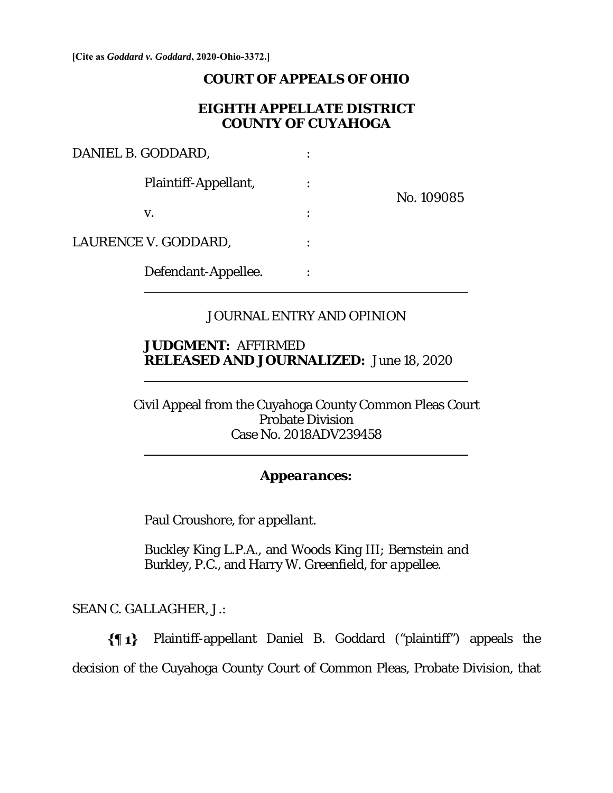**[Cite as** *Goddard v. Goddard***, 2020-Ohio-3372.]**

#### **COURT OF APPEALS OF OHIO**

## **EIGHTH APPELLATE DISTRICT COUNTY OF CUYAHOGA**

| DANIEL B. GODDARD,   |  |            |
|----------------------|--|------------|
| Plaintiff-Appellant, |  | No. 109085 |
| V.                   |  |            |
| LAURENCE V. GODDARD, |  |            |
| Defendant-Appellee.  |  |            |

# JOURNAL ENTRY AND OPINION

# **JUDGMENT:** AFFIRMED **RELEASED AND JOURNALIZED:** June 18, 2020

Civil Appeal from the Cuyahoga County Common Pleas Court Probate Division Case No. 2018ADV239458

## *Appearances:*

Paul Croushore, *for appellant*.

Buckley King L.P.A., and Woods King III; Bernstein and Burkley, P.C., and Harry W. Greenfield, *for appellee*.

SEAN C. GALLAGHER, J.:

 $\overline{a}$ 

 $\overline{a}$ 

 $\{ \P 1 \}$ Plaintiff-appellant Daniel B. Goddard ("plaintiff") appeals the decision of the Cuyahoga County Court of Common Pleas, Probate Division, that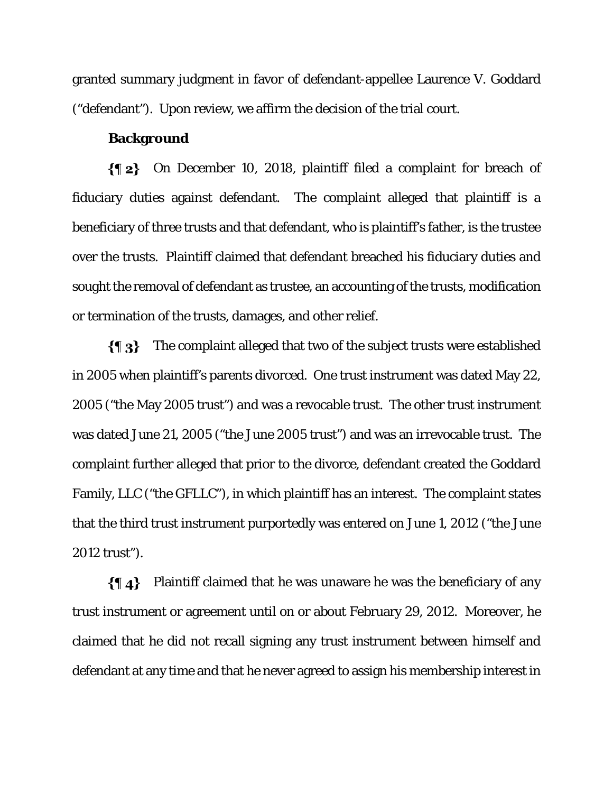granted summary judgment in favor of defendant-appellee Laurence V. Goddard ("defendant"). Upon review, we affirm the decision of the trial court.

## **Background**

On December 10, 2018, plaintiff filed a complaint for breach of fiduciary duties against defendant. The complaint alleged that plaintiff is a beneficiary of three trusts and that defendant, who is plaintiff's father, is the trustee over the trusts. Plaintiff claimed that defendant breached his fiduciary duties and sought the removal of defendant as trustee, an accounting of the trusts, modification or termination of the trusts, damages, and other relief.

The complaint alleged that two of the subject trusts were established  $\{ \P_3 \}$ in 2005 when plaintiff's parents divorced. One trust instrument was dated May 22, 2005 ("the May 2005 trust") and was a revocable trust. The other trust instrument was dated June 21, 2005 ("the June 2005 trust") and was an irrevocable trust. The complaint further alleged that prior to the divorce, defendant created the Goddard Family, LLC ("the GFLLC"), in which plaintiff has an interest. The complaint states that the third trust instrument purportedly was entered on June 1, 2012 ("the June 2012 trust").

 $\{\P\}$  Plaintiff claimed that he was unaware he was the beneficiary of any trust instrument or agreement until on or about February 29, 2012. Moreover, he claimed that he did not recall signing any trust instrument between himself and defendant at any time and that he never agreed to assign his membership interest in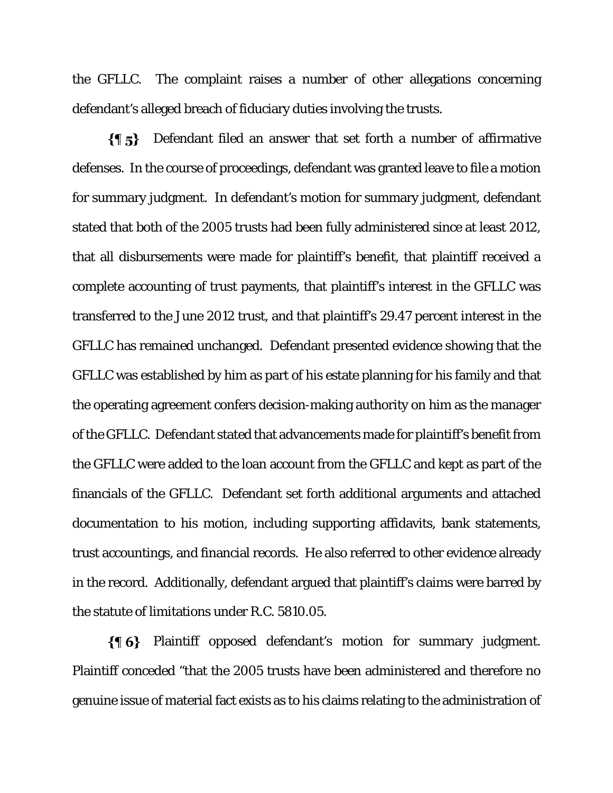the GFLLC. The complaint raises a number of other allegations concerning defendant's alleged breach of fiduciary duties involving the trusts.

 $\{ \P_5 \}$ Defendant filed an answer that set forth a number of affirmative defenses. In the course of proceedings, defendant was granted leave to file a motion for summary judgment. In defendant's motion for summary judgment, defendant stated that both of the 2005 trusts had been fully administered since at least 2012, that all disbursements were made for plaintiff's benefit, that plaintiff received a complete accounting of trust payments, that plaintiff's interest in the GFLLC was transferred to the June 2012 trust, and that plaintiff's 29.47 percent interest in the GFLLC has remained unchanged. Defendant presented evidence showing that the GFLLC was established by him as part of his estate planning for his family and that the operating agreement confers decision-making authority on him as the manager of the GFLLC. Defendant stated that advancements made for plaintiff's benefit from the GFLLC were added to the loan account from the GFLLC and kept as part of the financials of the GFLLC. Defendant set forth additional arguments and attached documentation to his motion, including supporting affidavits, bank statements, trust accountings, and financial records. He also referred to other evidence already in the record. Additionally, defendant argued that plaintiff's claims were barred by the statute of limitations under R.C. 5810.05.

 $\{ \phi\}$  Plaintiff opposed defendant's motion for summary judgment. Plaintiff conceded "that the 2005 trusts have been administered and therefore no genuine issue of material fact exists as to his claims relating to the administration of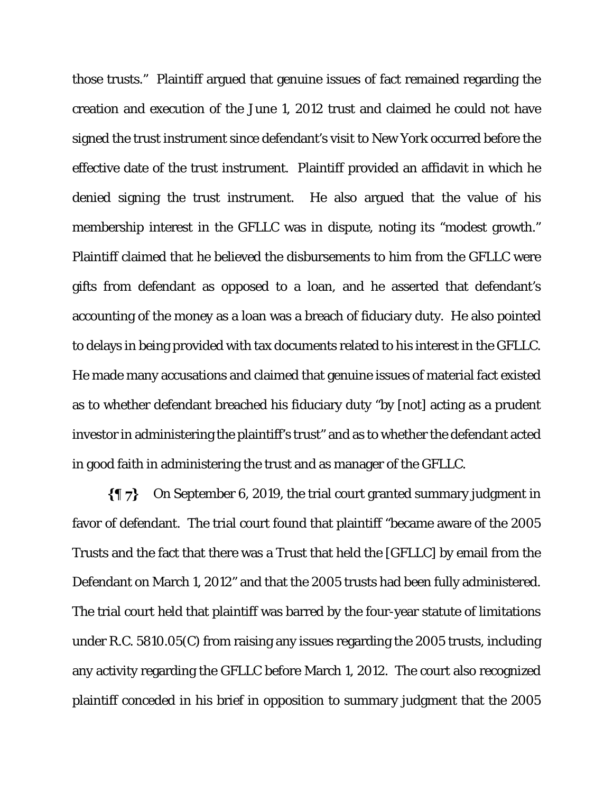those trusts." Plaintiff argued that genuine issues of fact remained regarding the creation and execution of the June 1, 2012 trust and claimed he could not have signed the trust instrument since defendant's visit to New York occurred before the effective date of the trust instrument. Plaintiff provided an affidavit in which he denied signing the trust instrument. He also argued that the value of his membership interest in the GFLLC was in dispute, noting its "modest growth." Plaintiff claimed that he believed the disbursements to him from the GFLLC were gifts from defendant as opposed to a loan, and he asserted that defendant's accounting of the money as a loan was a breach of fiduciary duty. He also pointed to delays in being provided with tax documents related to his interest in the GFLLC. He made many accusations and claimed that genuine issues of material fact existed as to whether defendant breached his fiduciary duty "by [not] acting as a prudent investor in administering the plaintiff's trust" and as to whether the defendant acted in good faith in administering the trust and as manager of the GFLLC.

 $\{ \P\}$ On September 6, 2019, the trial court granted summary judgment in favor of defendant. The trial court found that plaintiff "became aware of the 2005 Trusts and the fact that there was a Trust that held the [GFLLC] by email from the Defendant on March 1, 2012" and that the 2005 trusts had been fully administered. The trial court held that plaintiff was barred by the four-year statute of limitations under R.C. 5810.05(C) from raising any issues regarding the 2005 trusts, including any activity regarding the GFLLC before March 1, 2012. The court also recognized plaintiff conceded in his brief in opposition to summary judgment that the 2005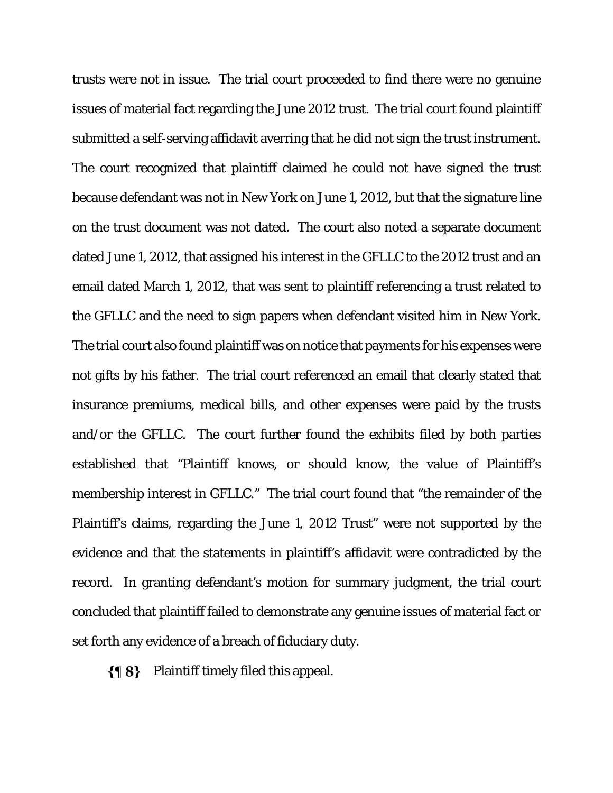trusts were not in issue. The trial court proceeded to find there were no genuine issues of material fact regarding the June 2012 trust. The trial court found plaintiff submitted a self-serving affidavit averring that he did not sign the trust instrument. The court recognized that plaintiff claimed he could not have signed the trust because defendant was not in New York on June 1, 2012, but that the signature line on the trust document was not dated. The court also noted a separate document dated June 1, 2012, that assigned his interest in the GFLLC to the 2012 trust and an email dated March 1, 2012, that was sent to plaintiff referencing a trust related to the GFLLC and the need to sign papers when defendant visited him in New York. The trial court also found plaintiff was on notice that payments for his expenses were not gifts by his father. The trial court referenced an email that clearly stated that insurance premiums, medical bills, and other expenses were paid by the trusts and/or the GFLLC. The court further found the exhibits filed by both parties established that "Plaintiff knows, or should know, the value of Plaintiff's membership interest in GFLLC." The trial court found that "the remainder of the Plaintiff's claims, regarding the June 1, 2012 Trust" were not supported by the evidence and that the statements in plaintiff's affidavit were contradicted by the record. In granting defendant's motion for summary judgment, the trial court concluded that plaintiff failed to demonstrate any genuine issues of material fact or set forth any evidence of a breach of fiduciary duty.

 $\{\P 8\}$  Plaintiff timely filed this appeal.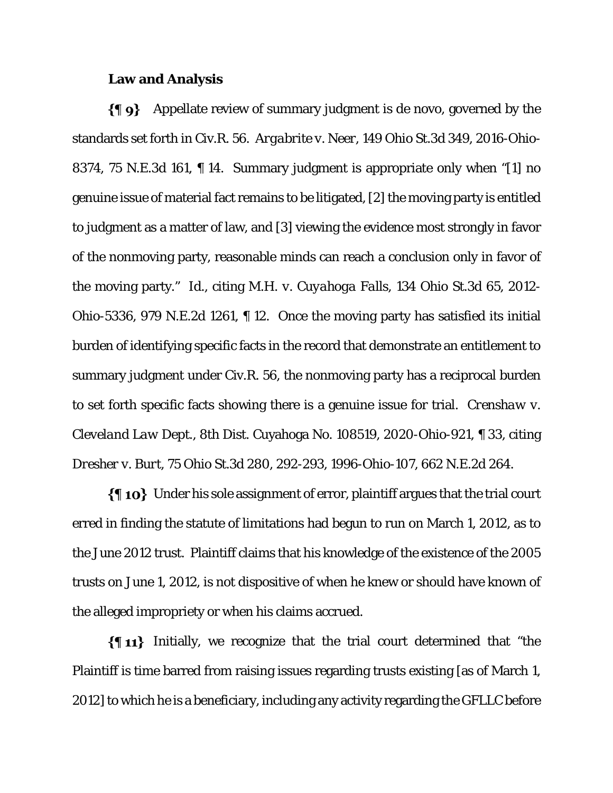#### **Law and Analysis**

 $\{\P\}$  Appellate review of summary judgment is de novo, governed by the standards set forth in Civ.R. 56. *Argabrite v. Neer*, 149 Ohio St.3d 349, 2016-Ohio-8374, 75 N.E.3d 161, ¶ 14. Summary judgment is appropriate only when "[1] no genuine issue of material fact remains to be litigated, [2] the moving party is entitled to judgment as a matter of law, and [3] viewing the evidence most strongly in favor of the nonmoving party, reasonable minds can reach a conclusion only in favor of the moving party." *Id*., citing *M.H. v. Cuyahoga Falls*, 134 Ohio St.3d 65, 2012- Ohio-5336, 979 N.E.2d 1261, ¶ 12. Once the moving party has satisfied its initial burden of identifying specific facts in the record that demonstrate an entitlement to summary judgment under Civ.R. 56, the nonmoving party has a reciprocal burden to set forth specific facts showing there is a genuine issue for trial. *Crenshaw v. Cleveland Law Dept*., 8th Dist. Cuyahoga No. 108519, 2020-Ohio-921, ¶ 33, citing *Dresher v. Burt*, 75 Ohio St.3d 280, 292-293, 1996-Ohio-107, 662 N.E.2d 264.

 $\{\P_1\}$  Under his sole assignment of error, plaintiff argues that the trial court erred in finding the statute of limitations had begun to run on March 1, 2012, as to the June 2012 trust. Plaintiff claims that his knowledge of the existence of the 2005 trusts on June 1, 2012, is not dispositive of when he knew or should have known of the alleged impropriety or when his claims accrued.

 $\{\P 11\}$  Initially, we recognize that the trial court determined that "the Plaintiff is time barred from raising issues regarding trusts existing [as of March 1, 2012] to which he is a beneficiary, including any activity regarding the GFLLC before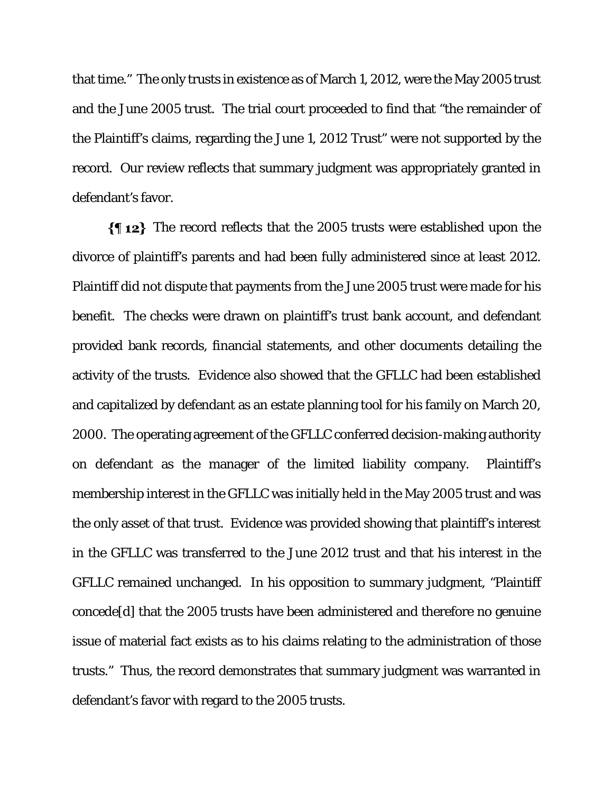that time." The only trusts in existence as of March 1, 2012, were the May 2005 trust and the June 2005 trust. The trial court proceeded to find that "the remainder of the Plaintiff's claims, regarding the June 1, 2012 Trust" were not supported by the record. Our review reflects that summary judgment was appropriately granted in defendant's favor.

 $\{\P 12\}$  The record reflects that the 2005 trusts were established upon the divorce of plaintiff's parents and had been fully administered since at least 2012. Plaintiff did not dispute that payments from the June 2005 trust were made for his benefit. The checks were drawn on plaintiff's trust bank account, and defendant provided bank records, financial statements, and other documents detailing the activity of the trusts. Evidence also showed that the GFLLC had been established and capitalized by defendant as an estate planning tool for his family on March 20, 2000. The operating agreement of the GFLLC conferred decision-making authority on defendant as the manager of the limited liability company. Plaintiff's membership interest in the GFLLC was initially held in the May 2005 trust and was the only asset of that trust. Evidence was provided showing that plaintiff's interest in the GFLLC was transferred to the June 2012 trust and that his interest in the GFLLC remained unchanged. In his opposition to summary judgment, "Plaintiff concede[d] that the 2005 trusts have been administered and therefore no genuine issue of material fact exists as to his claims relating to the administration of those trusts." Thus, the record demonstrates that summary judgment was warranted in defendant's favor with regard to the 2005 trusts.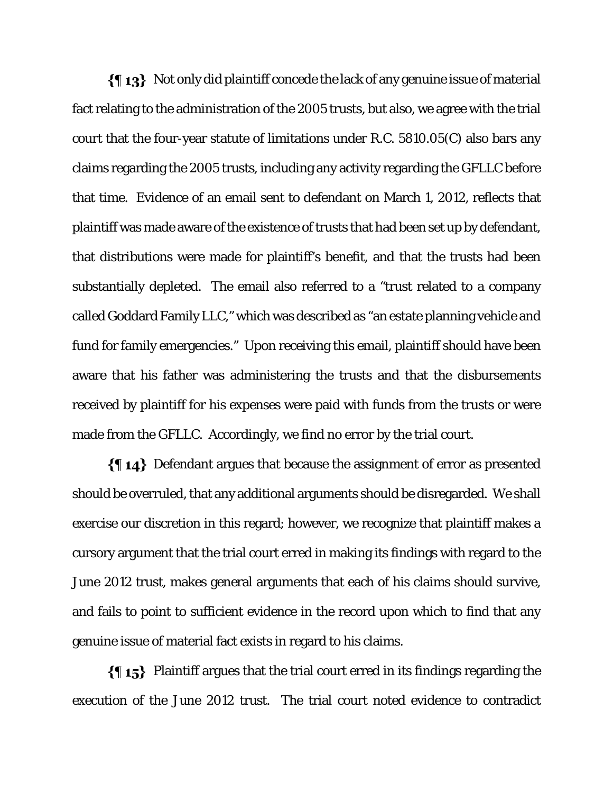$\{\P_1\}$  Not only did plaintiff concede the lack of any genuine issue of material fact relating to the administration of the 2005 trusts, but also, we agree with the trial court that the four-year statute of limitations under R.C. 5810.05(C) also bars any claims regarding the 2005 trusts, including any activity regarding the GFLLC before that time. Evidence of an email sent to defendant on March 1, 2012, reflects that plaintiff was made aware of the existence of trusts that had been set up by defendant, that distributions were made for plaintiff's benefit, and that the trusts had been substantially depleted. The email also referred to a "trust related to a company called Goddard Family LLC," which was described as "an estate planning vehicle and fund for family emergencies." Upon receiving this email, plaintiff should have been aware that his father was administering the trusts and that the disbursements received by plaintiff for his expenses were paid with funds from the trusts or were made from the GFLLC. Accordingly, we find no error by the trial court.

Defendant argues that because the assignment of error as presented should be overruled, that any additional arguments should be disregarded. We shall exercise our discretion in this regard; however, we recognize that plaintiff makes a cursory argument that the trial court erred in making its findings with regard to the June 2012 trust, makes general arguments that each of his claims should survive, and fails to point to sufficient evidence in the record upon which to find that any genuine issue of material fact exists in regard to his claims.

Plaintiff argues that the trial court erred in its findings regarding the execution of the June 2012 trust. The trial court noted evidence to contradict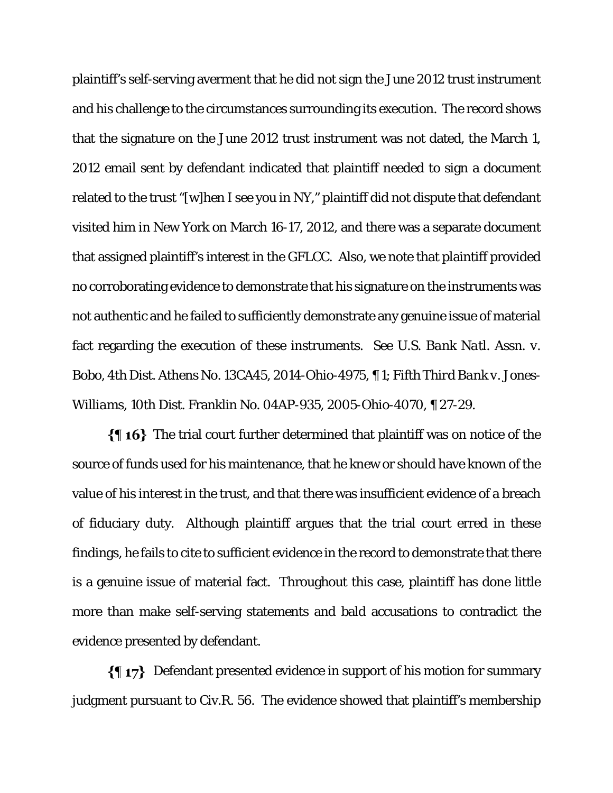plaintiff's self-serving averment that he did not sign the June 2012 trust instrument and his challenge to the circumstances surrounding its execution. The record shows that the signature on the June 2012 trust instrument was not dated, the March 1, 2012 email sent by defendant indicated that plaintiff needed to sign a document related to the trust "[w]hen I see you in NY," plaintiff did not dispute that defendant visited him in New York on March 16-17, 2012, and there was a separate document that assigned plaintiff's interest in the GFLCC. Also, we note that plaintiff provided no corroborating evidence to demonstrate that his signature on the instruments was not authentic and he failed to sufficiently demonstrate any genuine issue of material fact regarding the execution of these instruments. *See U.S. Bank Natl. Assn. v. Bobo*, 4th Dist. Athens No. 13CA45, 2014-Ohio-4975, ¶ 1; *Fifth Third Bank v. Jones-Williams*, 10th Dist. Franklin No. 04AP-935, 2005-Ohio-4070, ¶ 27-29.

 $\{ \text{I\,16} \}$  The trial court further determined that plaintiff was on notice of the source of funds used for his maintenance, that he knew or should have known of the value of his interest in the trust, and that there was insufficient evidence of a breach of fiduciary duty. Although plaintiff argues that the trial court erred in these findings, he fails to cite to sufficient evidence in the record to demonstrate that there is a genuine issue of material fact. Throughout this case, plaintiff has done little more than make self-serving statements and bald accusations to contradict the evidence presented by defendant.

 $\{\P\}$  Defendant presented evidence in support of his motion for summary judgment pursuant to Civ.R. 56. The evidence showed that plaintiff's membership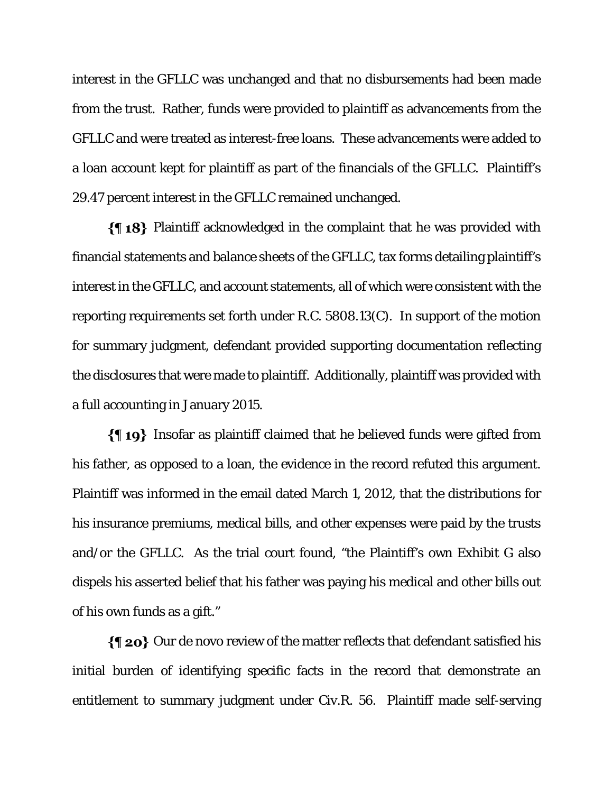interest in the GFLLC was unchanged and that no disbursements had been made from the trust. Rather, funds were provided to plaintiff as advancements from the GFLLC and were treated as interest-free loans. These advancements were added to a loan account kept for plaintiff as part of the financials of the GFLLC. Plaintiff's 29.47 percent interest in the GFLLC remained unchanged.

 $\{\{\,\,\gamma\}\,\}$  Plaintiff acknowledged in the complaint that he was provided with financial statements and balance sheets of the GFLLC, tax forms detailing plaintiff's interest in the GFLLC, and account statements, all of which were consistent with the reporting requirements set forth under R.C. 5808.13(C). In support of the motion for summary judgment, defendant provided supporting documentation reflecting the disclosures that were made to plaintiff. Additionally, plaintiff was provided with a full accounting in January 2015.

Insofar as plaintiff claimed that he believed funds were gifted from his father, as opposed to a loan, the evidence in the record refuted this argument. Plaintiff was informed in the email dated March 1, 2012, that the distributions for his insurance premiums, medical bills, and other expenses were paid by the trusts and/or the GFLLC. As the trial court found, "the Plaintiff's own Exhibit G also dispels his asserted belief that his father was paying his medical and other bills out of his own funds as a gift."

 $\{\P$  20} Our de novo review of the matter reflects that defendant satisfied his initial burden of identifying specific facts in the record that demonstrate an entitlement to summary judgment under Civ.R. 56. Plaintiff made self-serving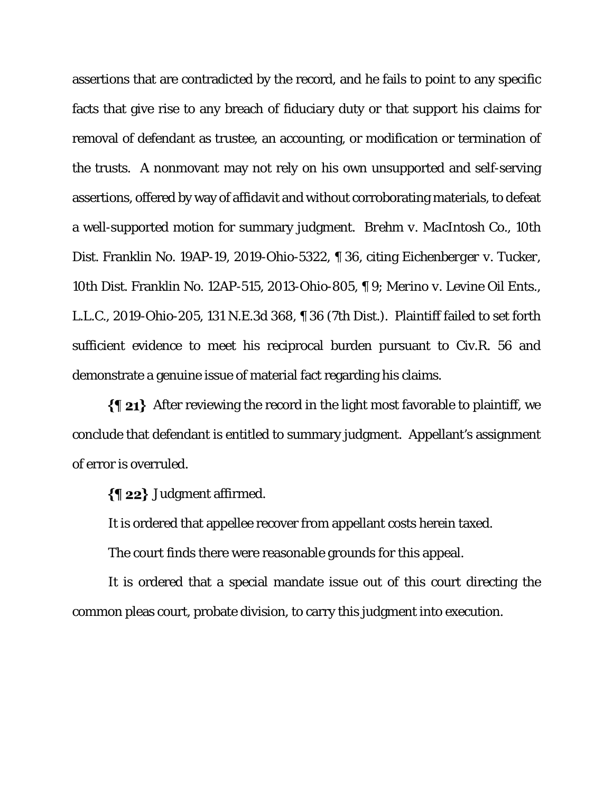assertions that are contradicted by the record, and he fails to point to any specific facts that give rise to any breach of fiduciary duty or that support his claims for removal of defendant as trustee, an accounting, or modification or termination of the trusts. A nonmovant may not rely on his own unsupported and self-serving assertions, offered by way of affidavit and without corroborating materials, to defeat a well-supported motion for summary judgment. *Brehm v. MacIntosh Co.*, 10th Dist. Franklin No. 19AP-19, 2019-Ohio-5322, ¶ 36, citing *Eichenberger v. Tucker*, 10th Dist. Franklin No. 12AP-515, 2013-Ohio-805, ¶ 9; *Merino v. Levine Oil Ents., L.L.C.*, 2019-Ohio-205, 131 N.E.3d 368, ¶ 36 (7th Dist.). Plaintiff failed to set forth sufficient evidence to meet his reciprocal burden pursuant to Civ.R. 56 and demonstrate a genuine issue of material fact regarding his claims.

After reviewing the record in the light most favorable to plaintiff, we conclude that defendant is entitled to summary judgment. Appellant's assignment of error is overruled.

 $\{\P 22\}$  Judgment affirmed.

It is ordered that appellee recover from appellant costs herein taxed.

The court finds there were reasonable grounds for this appeal.

It is ordered that a special mandate issue out of this court directing the common pleas court, probate division, to carry this judgment into execution.